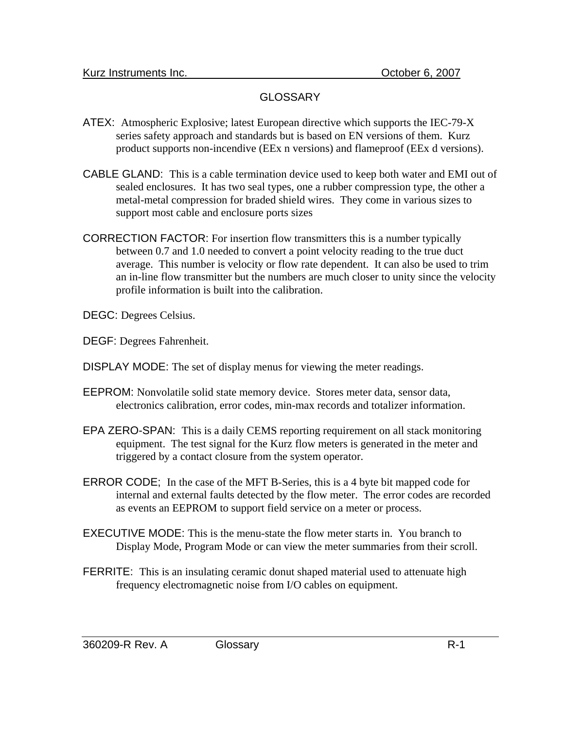## **GLOSSARY**

- ATEX: Atmospheric Explosive; latest European directive which supports the IEC-79-X series safety approach and standards but is based on EN versions of them. Kurz product supports non-incendive (EEx n versions) and flameproof (EEx d versions).
- CABLE GLAND: This is a cable termination device used to keep both water and EMI out of sealed enclosures. It has two seal types, one a rubber compression type, the other a metal-metal compression for braded shield wires. They come in various sizes to support most cable and enclosure ports sizes
- CORRECTION FACTOR: For insertion flow transmitters this is a number typically between 0.7 and 1.0 needed to convert a point velocity reading to the true duct average. This number is velocity or flow rate dependent. It can also be used to trim an in-line flow transmitter but the numbers are much closer to unity since the velocity profile information is built into the calibration.
- DEGC: Degrees Celsius.
- DEGF: Degrees Fahrenheit.
- DISPLAY MODE: The set of display menus for viewing the meter readings.
- EEPROM: Nonvolatile solid state memory device. Stores meter data, sensor data, electronics calibration, error codes, min-max records and totalizer information.
- EPA ZERO-SPAN: This is a daily CEMS reporting requirement on all stack monitoring equipment. The test signal for the Kurz flow meters is generated in the meter and triggered by a contact closure from the system operator.
- ERROR CODE; In the case of the MFT B-Series, this is a 4 byte bit mapped code for internal and external faults detected by the flow meter. The error codes are recorded as events an EEPROM to support field service on a meter or process.
- EXECUTIVE MODE: This is the menu-state the flow meter starts in. You branch to Display Mode, Program Mode or can view the meter summaries from their scroll.
- FERRITE: This is an insulating ceramic donut shaped material used to attenuate high frequency electromagnetic noise from I/O cables on equipment.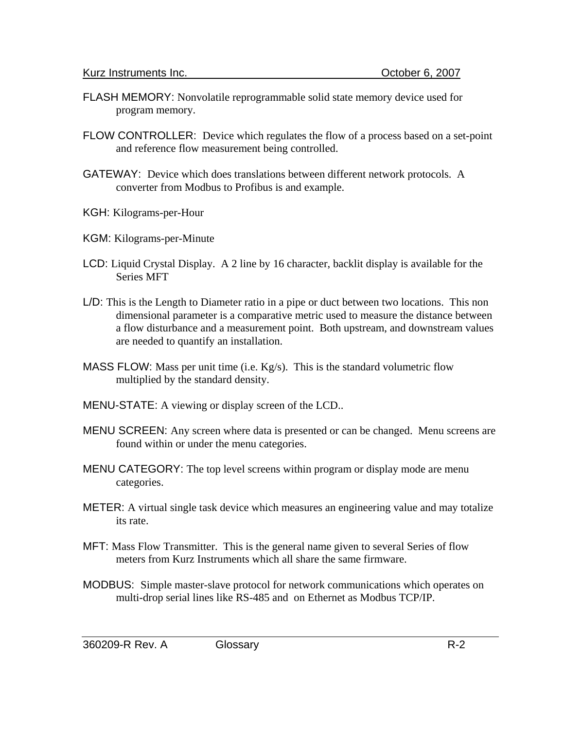- FLASH MEMORY: Nonvolatile reprogrammable solid state memory device used for program memory.
- FLOW CONTROLLER: Device which regulates the flow of a process based on a set-point and reference flow measurement being controlled.
- GATEWAY: Device which does translations between different network protocols. A converter from Modbus to Profibus is and example.
- KGH: Kilograms-per-Hour
- KGM: Kilograms-per-Minute
- LCD: Liquid Crystal Display. A 2 line by 16 character, backlit display is available for the Series MFT
- L/D: This is the Length to Diameter ratio in a pipe or duct between two locations. This non dimensional parameter is a comparative metric used to measure the distance between a flow disturbance and a measurement point. Both upstream, and downstream values are needed to quantify an installation.
- MASS FLOW: Mass per unit time (i.e.  $Kg/s$ ). This is the standard volumetric flow multiplied by the standard density.
- MENU-STATE: A viewing or display screen of the LCD..
- MENU SCREEN: Any screen where data is presented or can be changed. Menu screens are found within or under the menu categories.
- MENU CATEGORY: The top level screens within program or display mode are menu categories.
- METER: A virtual single task device which measures an engineering value and may totalize its rate.
- MFT: Mass Flow Transmitter. This is the general name given to several Series of flow meters from Kurz Instruments which all share the same firmware.
- MODBUS: Simple master-slave protocol for network communications which operates on multi-drop serial lines like RS-485 and on Ethernet as Modbus TCP/IP.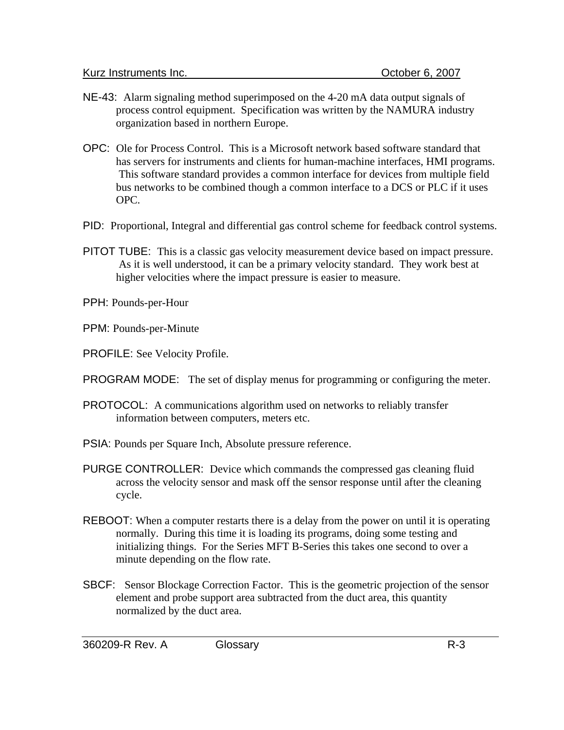- NE-43: Alarm signaling method superimposed on the 4-20 mA data output signals of process control equipment. Specification was written by the NAMURA industry organization based in northern Europe.
- OPC: Ole for Process Control. This is a Microsoft network based software standard that has servers for instruments and clients for human-machine interfaces, HMI programs. This software standard provides a common interface for devices from multiple field bus networks to be combined though a common interface to a DCS or PLC if it uses OPC.
- PID: Proportional, Integral and differential gas control scheme for feedback control systems.
- PITOT TUBE: This is a classic gas velocity measurement device based on impact pressure. As it is well understood, it can be a primary velocity standard. They work best at higher velocities where the impact pressure is easier to measure.

PPH: Pounds-per-Hour

PPM: Pounds-per-Minute

PROFILE: See Velocity Profile.

PROGRAM MODE: The set of display menus for programming or configuring the meter.

- PROTOCOL: A communications algorithm used on networks to reliably transfer information between computers, meters etc.
- PSIA: Pounds per Square Inch, Absolute pressure reference.
- PURGE CONTROLLER: Device which commands the compressed gas cleaning fluid across the velocity sensor and mask off the sensor response until after the cleaning cycle.
- REBOOT: When a computer restarts there is a delay from the power on until it is operating normally. During this time it is loading its programs, doing some testing and initializing things. For the Series MFT B-Series this takes one second to over a minute depending on the flow rate.
- SBCF: Sensor Blockage Correction Factor. This is the geometric projection of the sensor element and probe support area subtracted from the duct area, this quantity normalized by the duct area.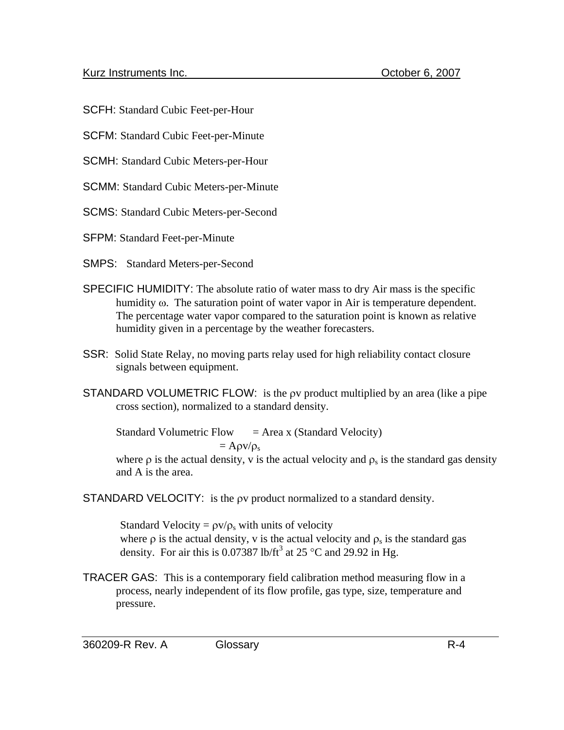SCFH: Standard Cubic Feet-per-Hour

SCFM: Standard Cubic Feet-per-Minute

SCMH: Standard Cubic Meters-per-Hour

SCMM: Standard Cubic Meters-per-Minute

SCMS: Standard Cubic Meters-per-Second

SFPM: Standard Feet-per-Minute

SMPS: Standard Meters-per-Second

- SPECIFIC HUMIDITY: The absolute ratio of water mass to dry Air mass is the specific humidity ω. The saturation point of water vapor in Air is temperature dependent. The percentage water vapor compared to the saturation point is known as relative humidity given in a percentage by the weather forecasters.
- SSR: Solid State Relay, no moving parts relay used for high reliability contact closure signals between equipment.
- STANDARD VOLUMETRIC FLOW: is the ρv product multiplied by an area (like a pipe cross section), normalized to a standard density.

Standard Volumetric Flow  $=$  Area x (Standard Velocity)  $= A \rho v / \rho_s$ 

where  $\rho$  is the actual density, v is the actual velocity and  $\rho_s$  is the standard gas density and A is the area.

STANDARD VELOCITY: is the ρv product normalized to a standard density.

Standard Velocity =  $\rho v/\rho_s$  with units of velocity where  $\rho$  is the actual density, v is the actual velocity and  $\rho_s$  is the standard gas density. For air this is 0.07387 lb/ft<sup>3</sup> at 25 °C and 29.92 in Hg.

TRACER GAS: This is a contemporary field calibration method measuring flow in a process, nearly independent of its flow profile, gas type, size, temperature and pressure.